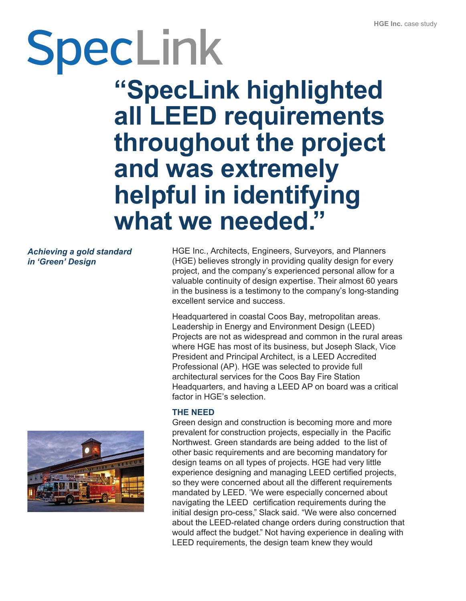# SpecLink

**"SpecLink highlighted all LEED requirements throughout the project and was extremely helpful in identifying what we needed. "**

*Achieving a gold standard in 'Green' Design*



HGE Inc., Architects, Engineers, Surveyors, and Planners (HGE) believes strongly in providing quality design for every project, and the company's experienced personal allow for a valuable continuity of design expertise. Their almost 60 years in the business is a testimony to the company's long-standing excellent service and success.

Headquartered in coastal Coos Bay, metropolitan areas. Leadership in Energy and Environment Design (LEED) Projects are not as widespread and common in the rural areas where HGE has most of its business, but Joseph Slack, Vice President and Principal Architect, is a LEED Accredited Professional (AP). HGE was selected to provide full architectural services for the Coos Bay Fire Station Headquarters, and having a LEED AP on board was a critical factor in HGE's selection.

#### **THE NEED**

Green design and construction is becoming more and more prevalent for construction projects, especially in the Pacific Northwest. Green standards are being added to the list of other basic requirements and are becoming mandatory for design teams on all types of projects. HGE had very little experience designing and managing LEED certified projects, so they were concerned about all the different requirements mandated by LEED. 'We were especially concerned about navigating the LEED certification requirements during the initial design pro-cess," Slack said. "We were also concerned about the LEED-related change orders during construction that would affect the budget." Not having experience in dealing with LEED requirements, the design team knew they would